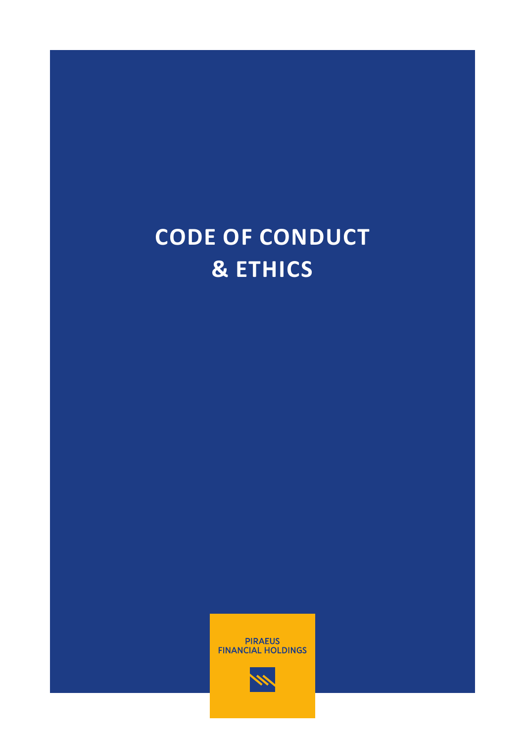# **CODE OF CONDUCT & ETHICS**



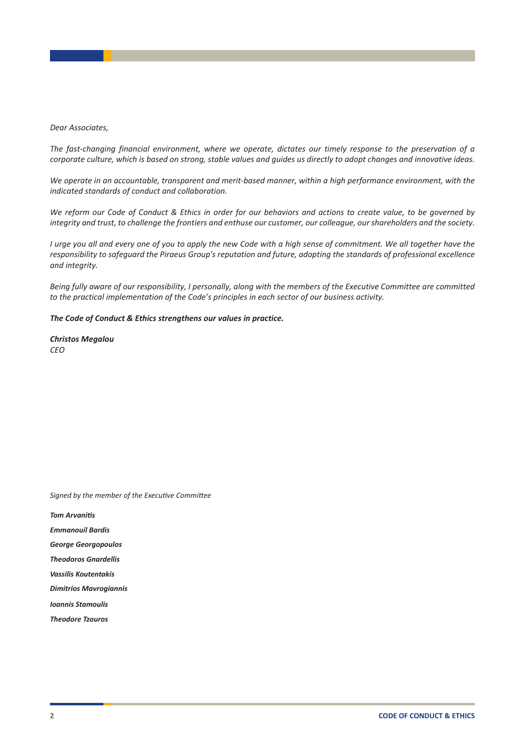#### *Dear Associates,*

*The fast-changing financial environment, where we operate, dictates our timely response to the preservation of a corporate culture, which is based on strong, stable values and guides us directly to adopt changes and innovative ideas.*

*We operate in an accountable, transparent and merit-based manner, within a high performance environment, with the indicated standards of conduct and collaboration.*

*We reform our Code of Conduct & Ethics in order for our behaviors and actions to create value, to be governed by integrity and trust, to challenge the frontiers and enthuse our customer, our colleague, our shareholders and the society.*

*I urge you all and every one of you to apply the new Code with a high sense of commitment. We all together have the responsibility to safeguard the Piraeus Group's reputation and future, adopting the standards of professional excellence and integrity.*

*Being fully aware of our responsibility, I personally, along with the members of the Executive Committee are committed to the practical implementation of the Code's principles in each sector of our business activity.*

#### *The Code of Conduct & Ethics strengthens our values in practice.*

*Christos Megalou CEO*

*Signed by the member of the Executive Committee*

*Tom Arvanitis* 

*Emmanouil Bardis*

*George Georgopoulos* 

*Theodoros Gnardellis*

*Vassilis Koutentakis*

*Dimitrios Mavrogiannis*

*Ioannis Stamoulis*

*Theodore Tzouros*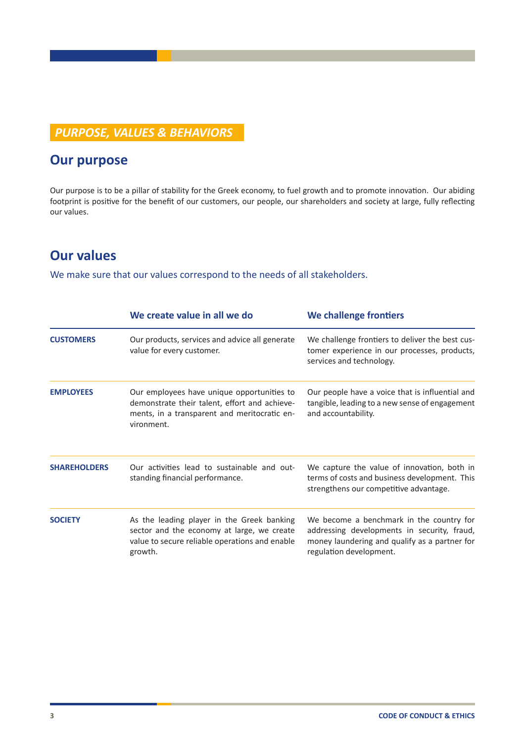# *PURPOSE, VALUES & BEHAVIORS*

# **Our purpose**

Our purpose is to be a pillar of stability for the Greek economy, to fuel growth and to promote innovation. Our abiding footprint is positive for the benefit of our customers, our people, our shareholders and society at large, fully reflecting our values.

# **Our values**

We make sure that our values correspond to the needs of all stakeholders.

|                     | We create value in all we do                                                                                                                              | We challenge frontiers                                                                                                                                              |
|---------------------|-----------------------------------------------------------------------------------------------------------------------------------------------------------|---------------------------------------------------------------------------------------------------------------------------------------------------------------------|
| <b>CUSTOMERS</b>    | Our products, services and advice all generate<br>value for every customer.                                                                               | We challenge frontiers to deliver the best cus-<br>tomer experience in our processes, products,<br>services and technology.                                         |
| <b>EMPLOYEES</b>    | Our employees have unique opportunities to<br>demonstrate their talent, effort and achieve-<br>ments, in a transparent and meritocratic en-<br>vironment. | Our people have a voice that is influential and<br>tangible, leading to a new sense of engagement<br>and accountability.                                            |
| <b>SHAREHOLDERS</b> | Our activities lead to sustainable and out-<br>standing financial performance.                                                                            | We capture the value of innovation, both in<br>terms of costs and business development. This<br>strengthens our competitive advantage.                              |
| <b>SOCIETY</b>      | As the leading player in the Greek banking<br>sector and the economy at large, we create<br>value to secure reliable operations and enable<br>growth.     | We become a benchmark in the country for<br>addressing developments in security, fraud,<br>money laundering and qualify as a partner for<br>regulation development. |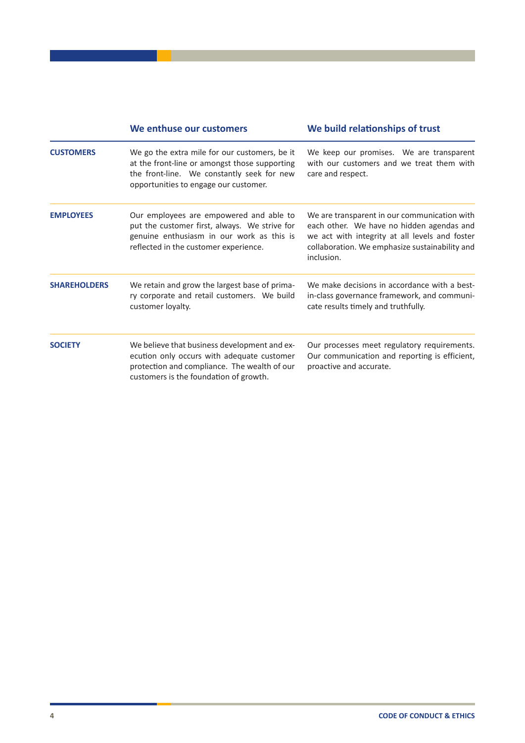|                     | We enthuse our customers                                                                                                                                                              | We build relationships of trust                                                                                                                                                                             |
|---------------------|---------------------------------------------------------------------------------------------------------------------------------------------------------------------------------------|-------------------------------------------------------------------------------------------------------------------------------------------------------------------------------------------------------------|
| <b>CUSTOMERS</b>    | We go the extra mile for our customers, be it<br>at the front-line or amongst those supporting<br>the front-line. We constantly seek for new<br>opportunities to engage our customer. | We keep our promises. We are transparent<br>with our customers and we treat them with<br>care and respect.                                                                                                  |
| <b>EMPLOYEES</b>    | Our employees are empowered and able to<br>put the customer first, always. We strive for<br>genuine enthusiasm in our work as this is<br>reflected in the customer experience.        | We are transparent in our communication with<br>each other. We have no hidden agendas and<br>we act with integrity at all levels and foster<br>collaboration. We emphasize sustainability and<br>inclusion. |
| <b>SHAREHOLDERS</b> | We retain and grow the largest base of prima-<br>ry corporate and retail customers. We build<br>customer loyalty.                                                                     | We make decisions in accordance with a best-<br>in-class governance framework, and communi-<br>cate results timely and truthfully.                                                                          |
| <b>SOCIETY</b>      | We believe that business development and ex-<br>ecution only occurs with adequate customer<br>protection and compliance. The wealth of our<br>customers is the foundation of growth.  | Our processes meet regulatory requirements.<br>Our communication and reporting is efficient,<br>proactive and accurate.                                                                                     |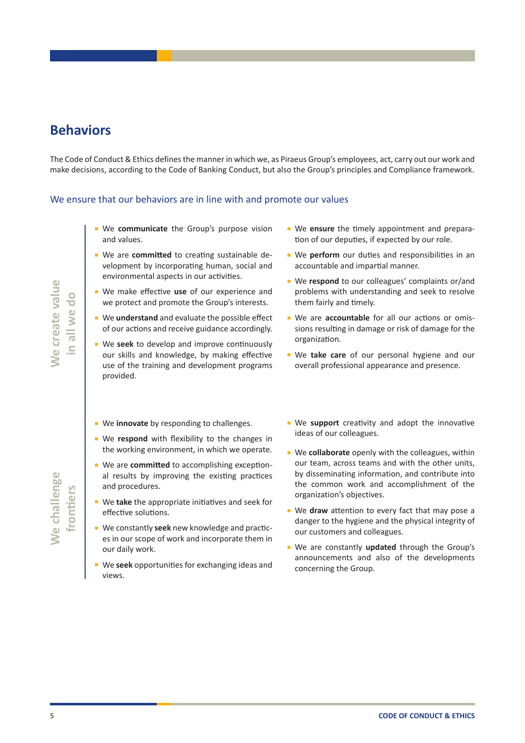# **Behaviors**

The Code of Conduct & Ethics defines the manner in which we, as Piraeus Group's employees, act, carry out our work and make decisions, according to the Code of Banking Conduct, but also the Group's principles and Compliance framework.

#### We ensure that our behaviors are in line with and promote our values

- **E** We communicate the Group's purpose vision and values.
- We are **committed** to creating sustainable development by incorporating human, social and environmental aspects in our activities.
- We make effective **use** of our experience and we protect and promote the Group's interests.
- We **understand** and evaluate the possible effect of our actions and receive guidance accordingly.
- We **seek** to develop and improve continuously our skills and knowledge, by making effective use of the training and development programs provided.
- We **innovate** by responding to challenges.
- We respond with flexibility to the changes in the working environment, in which we operate.
- We are **committed** to accomplishing exceptional results by improving the existing practices and procedures.
- We **take** the appropriate initiatives and seek for effective solutions.
- We constantly **seek** new knowledge and practices in our scope of work and incorporate them in our daily work.
- We **seek** opportunities for exchanging ideas and views.
- We ensure the timely appointment and preparation of our deputies, if expected by our role.
- We perform our duties and responsibilities in an accountable and impartial manner.
- We respond to our colleagues' complaints or/and problems with understanding and seek to resolve them fairly and timely.
- We are **accountable** for all our actions or omissions resulting in damage or risk of damage for the organization.
- We **take care** of our personal hygiene and our overall professional appearance and presence.
- We support creativity and adopt the innovative ideas of our colleagues.
- We **collaborate** openly with the colleagues, within our team, across teams and with the other units, by disseminating information, and contribute into the common work and accomplishment of the organization's objectives.
- We draw attention to every fact that may pose a danger to the hygiene and the physical integrity of our customers and colleagues.
- **EXECUTE THE SURFAINE SURFAINE SURFAINE SURFAINE SURFAINE SURFAINE INTERNATION AND CONDUCT AS THE SURFAINE OF CONDUCT & ETHICS<br>
<b>EXECUTE:**<br> **EXECUTE:**<br> **EXECUTE:**<br> **EXECUTE:**<br> **EXECUTE:**<br> **EXECUTE:**<br> **EXECUTE:**<br> **EXECUTE:** ■ We are constantly **updated** through the Group's announcements and also of the developments concerning the Group.

We create value **We create value** in all we do **in all we do**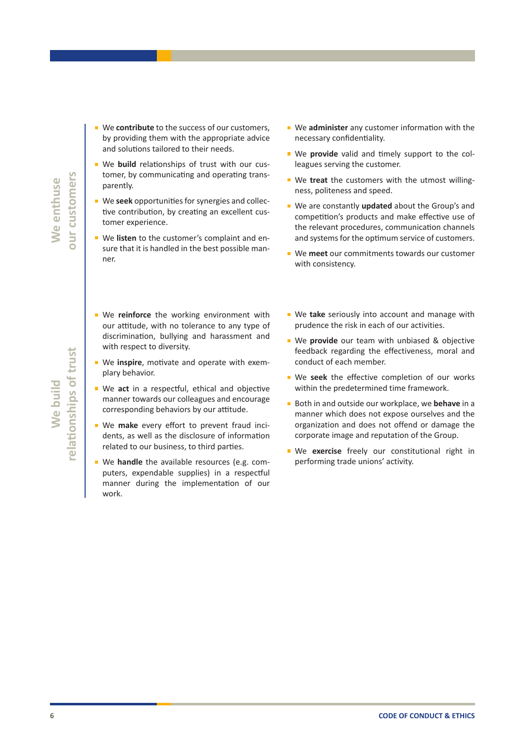elationships of trust **relationships of trust** We build **We build**

- We **contribute** to the success of our customers, by providing them with the appropriate advice and solutions tailored to their needs.
- We **build** relationships of trust with our customer, by communicating and operating transparently.
- We seek opportunities for synergies and collective contribution, by creating an excellent customer experience.
- We **listen** to the customer's complaint and ensure that it is handled in the best possible manner.
- **We reinforce** the working environment with our attitude, with no tolerance to any type of discrimination, bullying and harassment and with respect to diversity.
- We **inspire**, motivate and operate with exemplary behavior.
- We act in a respectful, ethical and objective manner towards our colleagues and encourage corresponding behaviors by our attitude.
- We **make** every effort to prevent fraud incidents, as well as the disclosure of information related to our business, to third parties.
- We **handle** the available resources (e.g. computers, expendable supplies) in a respectful manner during the implementation of our work.
- We **administer** any customer information with the necessary confidentiality.
- We **provide** valid and timely support to the colleagues serving the customer.
- We **treat** the customers with the utmost willingness, politeness and speed.
- We are constantly **updated** about the Group's and competition's products and make effective use of the relevant procedures, communication channels and systems for the optimum service of customers.
- We **meet** our commitments towards our customer with consistency.
- We take seriously into account and manage with prudence the risk in each of our activities.
- We provide our team with unbiased & objective feedback regarding the effectiveness, moral and conduct of each member.
- We seek the effective completion of our works within the predetermined time framework.
- Both in and outside our workplace, we **behave** in a manner which does not expose ourselves and the organization and does not offend or damage the corporate image and reputation of the Group.
- We **exercise** freely our constitutional right in performing trade unions' activity.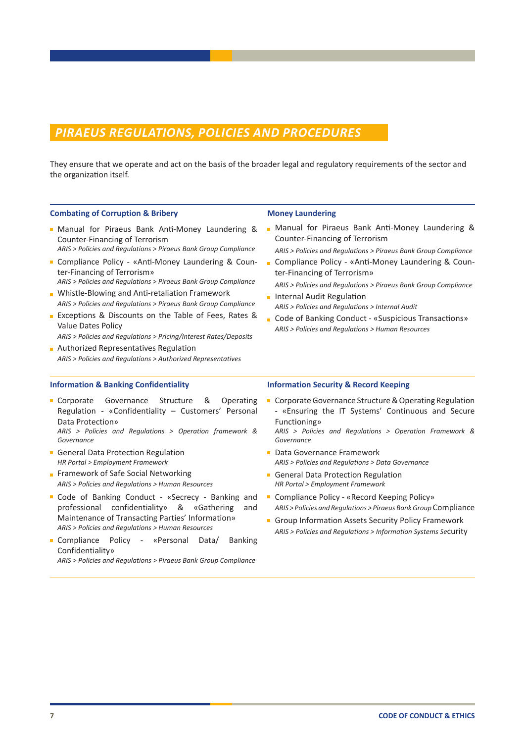### *PIRAEUS REGULATIONS, POLICIES AND PROCEDURES*

They ensure that we operate and act on the basis of the broader legal and regulatory requirements of the sector and the organization itself.

#### **Combating of Corruption & Bribery**

- Manual for Piraeus Bank Anti-Money Laundering & Counter-Financing of Terrorism
- *ARIS > Policies and Regulations > Piraeus Bank Group Compliance*
- Compliance Policy «Anti-Money Laundering & Counter-Financing of Terrorism» *ARIS > Policies and Regulations > Piraeus Bank Group Compliance*
- **Number** Whistle-Blowing and Anti-retaliation Framework
- *ARIS > Policies and Regulations > Piraeus Bank Group Compliance* **Exceptions & Discounts on the Table of Fees, Rates &** Value Dates Policy
- *ARIS > Policies and Regulations > Pricing/Interest Rates/Deposits*
- **Authorized Representatives Regulation** *ARIS > Policies and Regulations > Authorized Representatives*

#### **Information & Banking Confidentiality**

- Corporate Governance Structure & Operating Regulation - «Confidentiality – Customers' Personal Data Protection» *ARIS > Policies and Regulations > Operation framework & Governance*
- General Data Protection Regulation *HR Portal > Employment Framework*
- Framework of Safe Social Networking *ARIS > Policies and Regulations > Human Resources*
- Code of Banking Conduct «Secrecy Banking and professional confidentiality» & «Gathering and Maintenance of Transacting Parties' Information» *ARIS > Policies and Regulations > Human Resources*
- Compliance Policy «Personal Data/ Banking Confidentiality»

*ARIS > Policies and Regulations > Piraeus Bank Group Compliance* 

#### **Money Laundering**

**Manual for Piraeus Bank Anti-Money Laundering &** Counter-Financing of Terrorism

*ARIS > Policies and Regulations > Piraeus Bank Group Compliance*

■ Compliance Policy - «Anti-Money Laundering & Counter-Financing of Terrorism»

*ARIS > Policies and Regulations > Piraeus Bank Group Compliance*

- **Internal Audit Regulation** *ARIS > Policies and Regulations > Internal Audit*
- Code of Banking Conduct «Suspicious Transactions» *ARIS > Policies and Regulations > Human Resources*

#### **Information Security & Record Keeping**

- Corporate Governance Structure & Operating Regulation - «Ensuring the IT Systems' Continuous and Secure Functioning»
	- *ARIS > Policies and Regulations > Operation Framework & Governance*
- Data Governance Framework *ARIS > Policies and Regulations > Data Governance*
- General Data Protection Regulation *HR Portal > Employment Framework*
- Compliance Policy «Record Keeping Policy» *ARIS > Policies and Regulations > Piraeus Bank Group* Compliance
- Group Information Assets Security Policy Framework *ARIS > Policies and Regulations > Information Systems Se*curity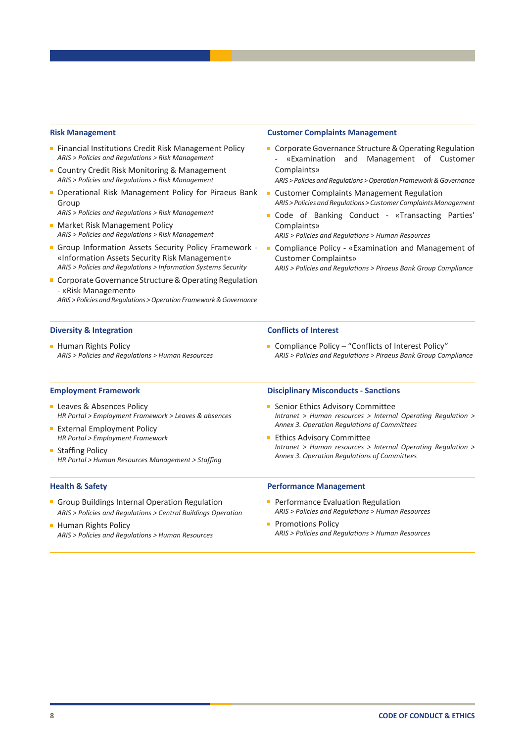#### **Risk Management**

- **Financial Institutions Credit Risk Management Policy** *ARIS > Policies and Regulations > Risk Management*
- Country Credit Risk Monitoring & Management *ARIS > Policies and Regulations > Risk Management*
- **D** Operational Risk Management Policy for Piraeus Bank Group

*ARIS > Policies and Regulations > Risk Management* 

- **Market Risk Management Policy** *ARIS > Policies and Regulations > Risk Management*
- Group Information Assets Security Policy Framework -«Information Assets Security Risk Management» *ARIS > Policies and Regulations > Information Systems Security*
- Corporate Governance Structure & Operating Regulation - «Risk Management» *ARIS > Policies and Regulations > Operation Framework & Governance*

#### **Diversity & Integration**

**Human Rights Policy** *ARIS > Policies and Regulations > Human Resources*

#### **Customer Complaints Management**

Corporate Governance Structure & Operating Regulation - «Examination and Management of Customer Complaints»

*ARIS > Policies and Regulations > Operation Framework & Governance*

- **E** Customer Complaints Management Regulation *ARIS > Policies and Regulations > Customer Complaints Management*
- Code of Banking Conduct «Transacting Parties' Complaints»
	- *ARIS > Policies and Regulations > Human Resources*
- Compliance Policy «Examination and Management of Customer Complaints»

*ARIS > Policies and Regulations > Piraeus Bank Group Compliance*

#### **Conflicts of Interest**

■ Compliance Policy – "Conflicts of Interest Policy" *ARIS > Policies and Regulations > Piraeus Bank Group Compliance*

#### **Employment Framework**

- **Leaves & Absences Policy** *HR Portal > Employment Framework > Leaves & absences*
- **External Employment Policy** *HR Portal > Employment Framework*
- Staffing Policy *HR Portal > Human Resources Management > Staffing*

#### **Health & Safety**

- Group Buildings Internal Operation Regulation *ARIS > Policies and Regulations > Central Buildings Operation*
- **Human Rights Policy** *ARIS > Policies and Regulations > Human Resources*

#### **Disciplinary Misconducts - Sanctions**

- **Senior Ethics Advisory Committee** *Intranet > Human resources > Internal Operating Regulation > Annex 3. Operation Regulations of Committees*
- **Ethics Advisory Committee** *Intranet > Human resources > Internal Operating Regulation > Annex 3. Operation Regulations of Committees*

#### **Performance Management**

- **Performance Evaluation Regulation** *ARIS > Policies and Regulations > Human Resources*
- **Promotions Policy** *ARIS > Policies and Regulations > Human Resources*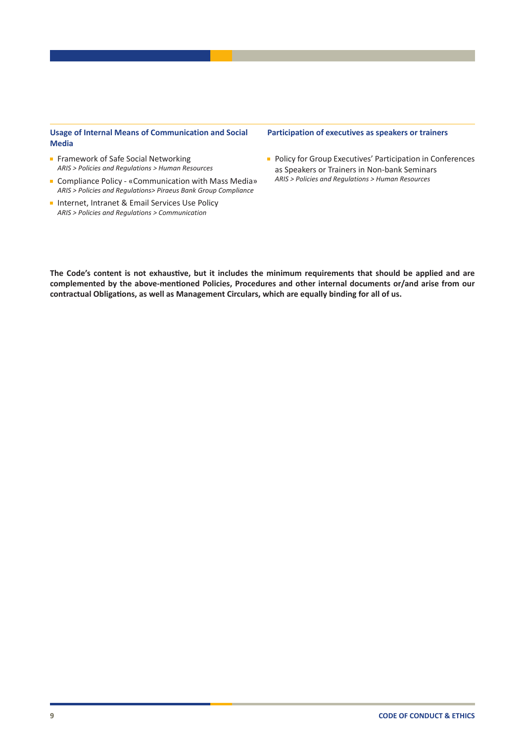#### **Usage of Internal Means of Communication and Social Media**

- Framework of Safe Social Networking *ARIS > Policies and Regulations > Human Resources*
- Compliance Policy «Communication with Mass Media» *ARIS > Policies and Regulations> Piraeus Bank Group Compliance*
- Internet, Intranet & Email Services Use Policy *ARIS > Policies and Regulations > Communication*

#### **Participation of executives as speakers or trainers**

**Policy for Group Executives' Participation in Conferences** as Speakers or Trainers in Non-bank Seminars *ARIS > Policies and Regulations > Human Resources*

**The Code's content is not exhaustive, but it includes the minimum requirements that should be applied and are complemented by the above-mentioned Policies, Procedures and other internal documents or/and arise from our contractual Obligations, as well as Management Circulars, which are equally binding for all of us.**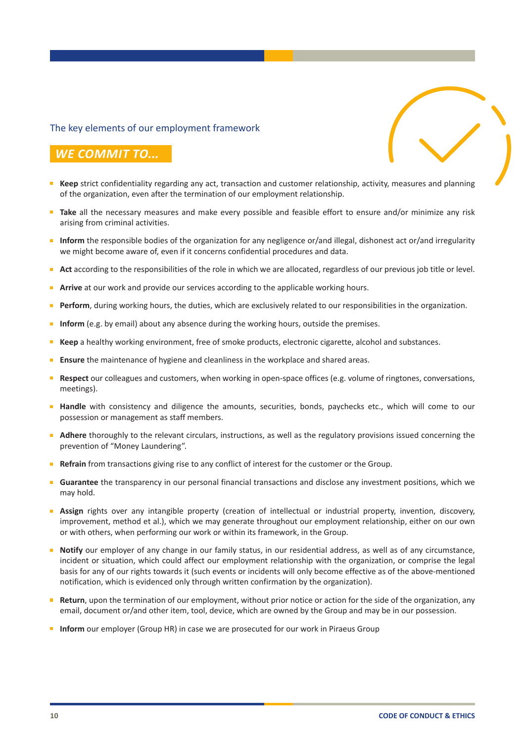### The key elements of our employment framework

## *WE COMMIT TO...*

- **Keep** strict confidentiality regarding any act, transaction and customer relationship, activity, measures and planning of the organization, even after the termination of our employment relationship.
- **Take** all the necessary measures and make every possible and feasible effort to ensure and/or minimize any risk arising from criminal activities.
- **Inform** the responsible bodies of the organization for any negligence or/and illegal, dishonest act or/and irregularity we might become aware of, even if it concerns confidential procedures and data.
- **Act** according to the responsibilities of the role in which we are allocated, regardless of our previous job title or level.
- **Arrive** at our work and provide our services according to the applicable working hours.
- **Perform**, during working hours, the duties, which are exclusively related to our responsibilities in the organization.
- **Inform** (e.g. by email) about any absence during the working hours, outside the premises.
- **Keep** a healthy working environment, free of smoke products, electronic cigarette, alcohol and substances.
- **Ensure** the maintenance of hygiene and cleanliness in the workplace and shared areas.
- **Respect** our colleagues and customers, when working in open-space offices (e.g. volume of ringtones, conversations, meetings).
- **Handle** with consistency and diligence the amounts, securities, bonds, paychecks etc., which will come to our possession or management as staff members.
- **Adhere** thoroughly to the relevant circulars, instructions, as well as the regulatory provisions issued concerning the prevention of "Money Laundering".
- **Refrain** from transactions giving rise to any conflict of interest for the customer or the Group.
- **Guarantee** the transparency in our personal financial transactions and disclose any investment positions, which we  $\mathbf{r}$ may hold.
- **Assign** rights over any intangible property (creation of intellectual or industrial property, invention, discovery, improvement, method et al.), which we may generate throughout our employment relationship, either on our own or with others, when performing our work or within its framework, in the Group.
- **Notify** our employer of any change in our family status, in our residential address, as well as of any circumstance, incident or situation, which could affect our employment relationship with the organization, or comprise the legal basis for any of our rights towards it (such events or incidents will only become effective as of the above-mentioned notification, which is evidenced only through written confirmation by the organization).
- **Return**, upon the termination of our employment, without prior notice or action for the side of the organization, any email, document or/and other item, tool, device, which are owned by the Group and may be in our possession.
- **Inform** our employer (Group HR) in case we are prosecuted for our work in Piraeus Group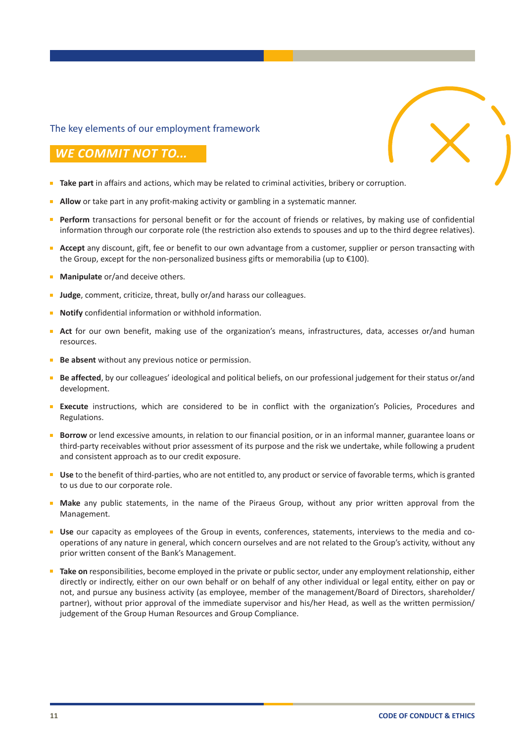### The key elements of our employment framework

### *WE COMMIT NOT TO...*

- **Take part** in affairs and actions, which may be related to criminal activities, bribery or corruption.
- **Allow** or take part in any profit-making activity or gambling in a systematic manner.
- **Perform** transactions for personal benefit or for the account of friends or relatives, by making use of confidential information through our corporate role (the restriction also extends to spouses and up to the third degree relatives).
- **Accept** any discount, gift, fee or benefit to our own advantage from a customer, supplier or person transacting with the Group, except for the non-personalized business gifts or memorabilia (up to €100).
- **Manipulate** or/and deceive others.
- **Judge**, comment, criticize, threat, bully or/and harass our colleagues.
- **Notify** confidential information or withhold information.
- **Act** for our own benefit, making use of the organization's means, infrastructures, data, accesses or/and human resources.
- **Be** absent without any previous notice or permission.
- **Be affected**, by our colleagues' ideological and political beliefs, on our professional judgement for their status or/and development.
- **Execute** instructions, which are considered to be in conflict with the organization's Policies, Procedures and Regulations.
- **Borrow** or lend excessive amounts, in relation to our financial position, or in an informal manner, guarantee loans or third-party receivables without prior assessment of its purpose and the risk we undertake, while following a prudent and consistent approach as to our credit exposure.
- **Use** to the benefit of third-parties, who are not entitled to, any product or service of favorable terms, which is granted to us due to our corporate role.
- **Make** any public statements, in the name of the Piraeus Group, without any prior written approval from the Management.
- **Use** our capacity as employees of the Group in events, conferences, statements, interviews to the media and cooperations of any nature in general, which concern ourselves and are not related to the Group's activity, without any prior written consent of the Bank's Management.
- **Take on** responsibilities, become employed in the private or public sector, under any employment relationship, either directly or indirectly, either on our own behalf or on behalf of any other individual or legal entity, either on pay or not, and pursue any business activity (as employee, member of the management/Board of Directors, shareholder/ partner), without prior approval of the immediate supervisor and his/her Head, as well as the written permission/ judgement of the Group Human Resources and Group Compliance.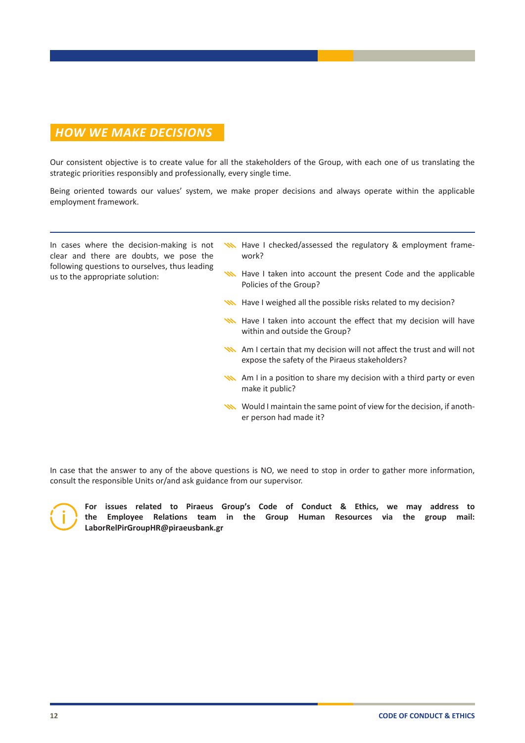# *HOW WE MAKE DECISIONS*

Our consistent objective is to create value for all the stakeholders of the Group, with each one of us translating the strategic priorities responsibly and professionally, every single time.

Being oriented towards our values' system, we make proper decisions and always operate within the applicable employment framework.

In cases where the decision-making is not clear and there are doubts, we pose the following questions to ourselves, thus leading us to the appropriate solution:

- **W** Have I checked/assessed the regulatory & employment framework?
- **WWA** Have I taken into account the present Code and the applicable Policies of the Group?
- **W** Have I weighed all the possible risks related to my decision?
- **W** Have I taken into account the effect that my decision will have within and outside the Group?
- Am I certain that my decision will not affect the trust and will not expose the safety of the Piraeus stakeholders?
- AM I in a position to share my decision with a third party or even make it public?
- Would I maintain the same point of view for the decision, if another person had made it?

In case that the answer to any of the above questions is NO, we need to stop in order to gather more information, consult the responsible Units or/and ask guidance from our supervisor.



**For issues related to Piraeus Group's Code of Conduct & Ethics, we may address to the Employee Relations team in the Group Human Resources via the group mail: LaborRelPirGroupHR@piraeusbank.gr**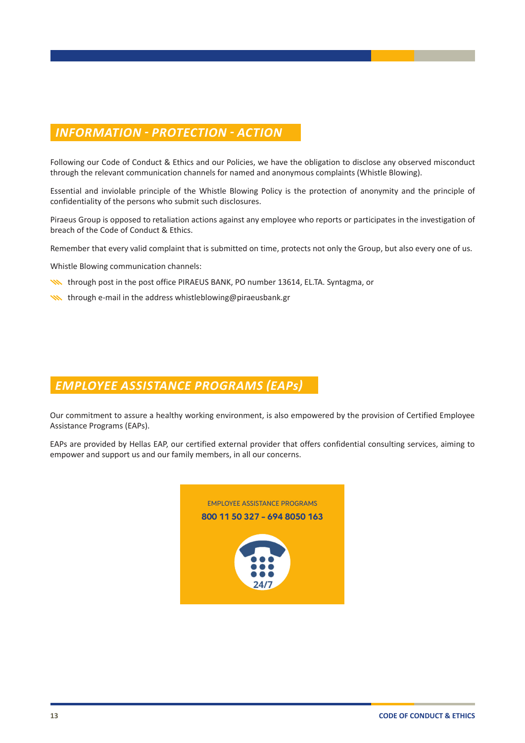# *INFORMATION - PROTECTION - ACTION*

Following our Code of Conduct & Ethics and our Policies, we have the obligation to disclose any observed misconduct through the relevant communication channels for named and anonymous complaints (Whistle Blowing).

Essential and inviolable principle of the Whistle Blowing Policy is the protection of anonymity and the principle of confidentiality of the persons who submit such disclosures.

Piraeus Group is opposed to retaliation actions against any employee who reports or participates in the investigation of breach of the Code of Conduct & Ethics.

Remember that every valid complaint that is submitted on time, protects not only the Group, but also every one of us.

Whistle Blowing communication channels:

- **When** through post in the post office PIRAEUS BANK, PO number 13614, EL.TA. Syntagma, or
- $\sum$  through e-mail in the address whistleblowing@piraeusbank.gr

# *EMPLOYEE ASSISTANCE PROGRAMS (EAPs)*

Our commitment to assure a healthy working environment, is also empowered by the provision of Certified Employee Assistance Programs (EAPs).

EAPs are provided by Hellas EAP, our certified external provider that offers confidential consulting services, aiming to empower and support us and our family members, in all our concerns.